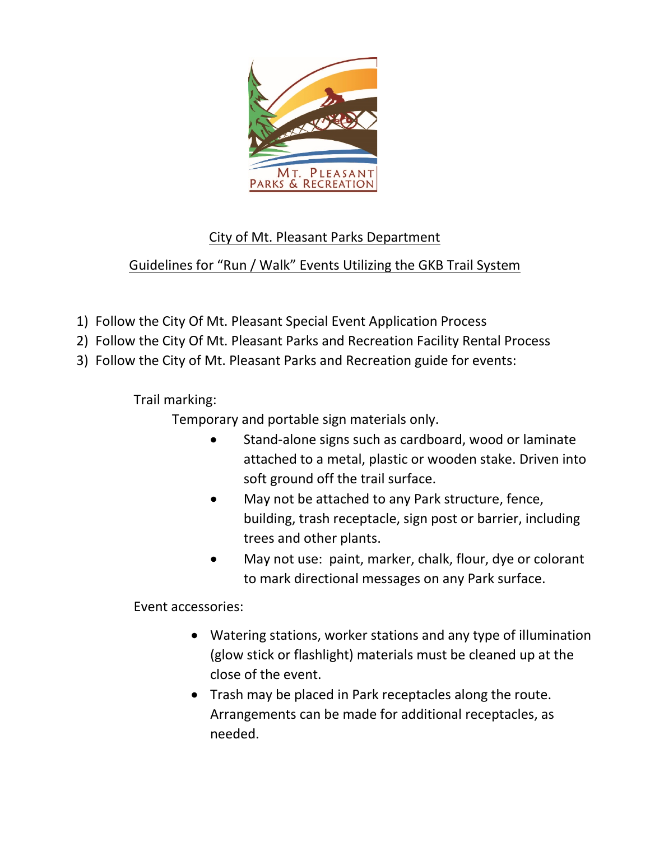

## City of Mt. Pleasant Parks Department

## Guidelines for "Run / Walk" Events Utilizing the GKB Trail System

- 1) Follow the City Of Mt. Pleasant Special Event Application Process
- 2) Follow the City Of Mt. Pleasant Parks and Recreation Facility Rental Process
- 3) Follow the City of Mt. Pleasant Parks and Recreation guide for events:

Trail marking:

Temporary and portable sign materials only.

- Stand-alone signs such as cardboard, wood or laminate attached to a metal, plastic or wooden stake. Driven into soft ground off the trail surface.
- May not be attached to any Park structure, fence, building, trash receptacle, sign post or barrier, including trees and other plants.
- May not use: paint, marker, chalk, flour, dye or colorant to mark directional messages on any Park surface.

Event accessories:

- Watering stations, worker stations and any type of illumination (glow stick or flashlight) materials must be cleaned up at the close of the event.
- Trash may be placed in Park receptacles along the route. Arrangements can be made for additional receptacles, as needed.